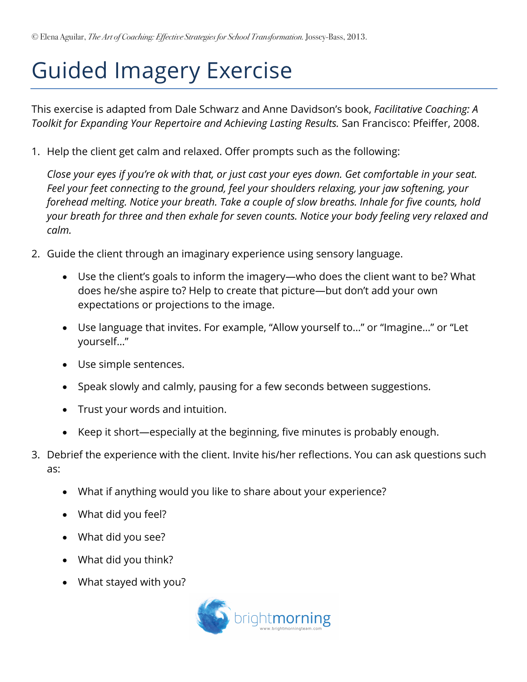## Guided Imagery Exercise

This exercise is adapted from Dale Schwarz and Anne Davidson's book, *Facilitative Coaching: A Toolkit for Expanding Your Repertoire and Achieving Lasting Results.* San Francisco: Pfeiffer, 2008.

1. Help the client get calm and relaxed. Offer prompts such as the following:

*Close your eyes if you're ok with that, or just cast your eyes down. Get comfortable in your seat. Feel your feet connecting to the ground, feel your shoulders relaxing, your jaw softening, your forehead melting. Notice your breath. Take a couple of slow breaths. Inhale for five counts, hold your breath for three and then exhale for seven counts. Notice your body feeling very relaxed and calm.* 

- 2. Guide the client through an imaginary experience using sensory language.
	- Use the client's goals to inform the imagery—who does the client want to be? What does he/she aspire to? Help to create that picture—but don't add your own expectations or projections to the image.
	- Use language that invites. For example, "Allow yourself to…" or "Imagine…" or "Let yourself…"
	- Use simple sentences.
	- Speak slowly and calmly, pausing for a few seconds between suggestions.
	- Trust your words and intuition.
	- Keep it short—especially at the beginning, five minutes is probably enough.
- 3. Debrief the experience with the client. Invite his/her reflections. You can ask questions such as:
	- What if anything would you like to share about your experience?
	- What did you feel?
	- What did you see?
	- What did you think?
	- What stayed with you?